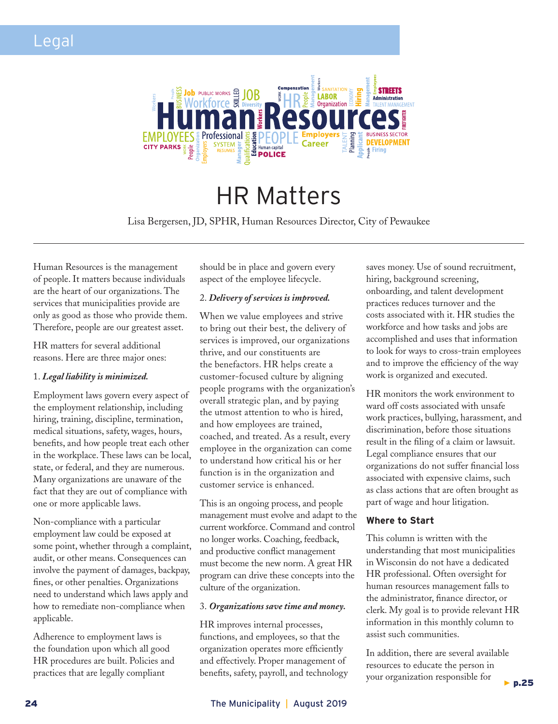

# HR Matters

Lisa Bergersen, JD, SPHR, Human Resources Director, City of Pewaukee

Human Resources is the management of people. It matters because individuals are the heart of our organizations. The services that municipalities provide are only as good as those who provide them. Therefore, people are our greatest asset.

HR matters for several additional reasons. Here are three major ones:

#### 1. *Legal liability is minimized.*

Employment laws govern every aspect of the employment relationship, including hiring, training, discipline, termination, medical situations, safety, wages, hours, benefits, and how people treat each other in the workplace. These laws can be local, state, or federal, and they are numerous. Many organizations are unaware of the fact that they are out of compliance with one or more applicable laws.

Non-compliance with a particular employment law could be exposed at some point, whether through a complaint, audit, or other means. Consequences can involve the payment of damages, backpay, fines, or other penalties. Organizations need to understand which laws apply and how to remediate non-compliance when applicable.

Adherence to employment laws is the foundation upon which all good HR procedures are built. Policies and practices that are legally compliant

should be in place and govern every aspect of the employee lifecycle.

#### 2. *Delivery of services is improved.*

When we value employees and strive to bring out their best, the delivery of services is improved, our organizations thrive, and our constituents are the benefactors. HR helps create a customer-focused culture by aligning people programs with the organization's overall strategic plan, and by paying the utmost attention to who is hired, and how employees are trained, coached, and treated. As a result, every employee in the organization can come to understand how critical his or her function is in the organization and customer service is enhanced.

This is an ongoing process, and people management must evolve and adapt to the current workforce. Command and control no longer works. Coaching, feedback, and productive conflict management must become the new norm. A great HR program can drive these concepts into the culture of the organization.

#### 3. *Organizations save time and money.*

HR improves internal processes, functions, and employees, so that the organization operates more efficiently and effectively. Proper management of benefits, safety, payroll, and technology saves money. Use of sound recruitment, hiring, background screening, onboarding, and talent development practices reduces turnover and the costs associated with it. HR studies the workforce and how tasks and jobs are accomplished and uses that information to look for ways to cross-train employees and to improve the efficiency of the way work is organized and executed.

HR monitors the work environment to ward off costs associated with unsafe work practices, bullying, harassment, and discrimination, before those situations result in the filing of a claim or lawsuit. Legal compliance ensures that our organizations do not suffer financial loss associated with expensive claims, such as class actions that are often brought as part of wage and hour litigation.

#### **Where to Start**

This column is written with the understanding that most municipalities in Wisconsin do not have a dedicated HR professional. Often oversight for human resources management falls to the administrator, finance director, or clerk. My goal is to provide relevant HR information in this monthly column to assist such communities.

In addition, there are several available resources to educate the person in your organization responsible for  $\blacktriangleright$  p.25